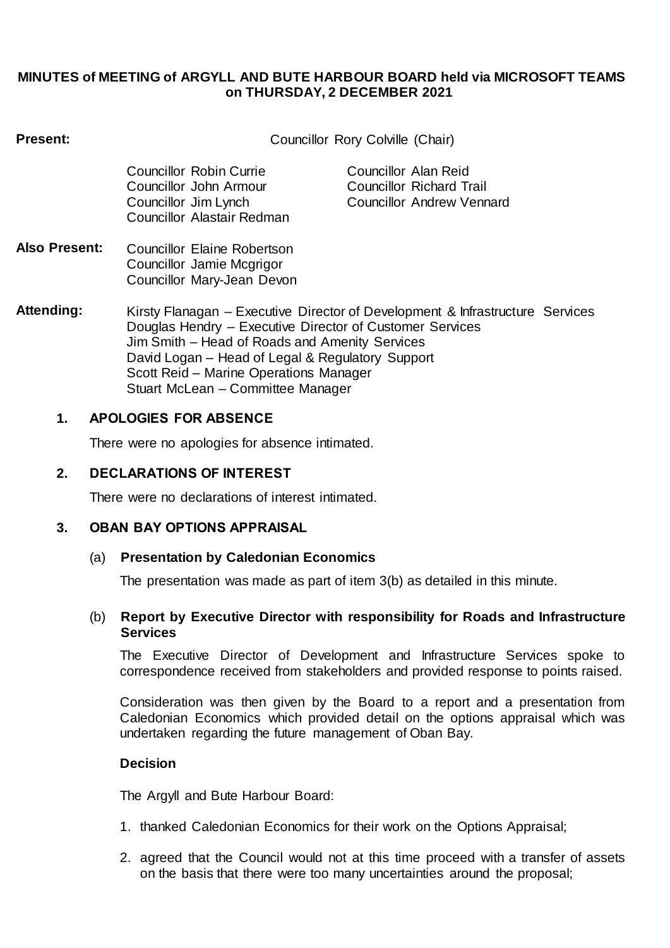### **MINUTES of MEETING of ARGYLL AND BUTE HARBOUR BOARD held via MICROSOFT TEAMS on THURSDAY, 2 DECEMBER 2021**

| Present:                           | Councillor Rory Colville (Chair)                                                                                                                                                                                                                                                                                               |                                                                                      |
|------------------------------------|--------------------------------------------------------------------------------------------------------------------------------------------------------------------------------------------------------------------------------------------------------------------------------------------------------------------------------|--------------------------------------------------------------------------------------|
|                                    | Councillor Robin Currie<br>Councillor John Armour<br>Councillor Jim Lynch<br>Councillor Alastair Redman                                                                                                                                                                                                                        | Councillor Alan Reid<br><b>Councillor Richard Trail</b><br>Councillor Andrew Vennard |
| <b>Also Present:</b>               | Councillor Elaine Robertson<br>Councillor Jamie Mcgrigor<br>Councillor Mary-Jean Devon                                                                                                                                                                                                                                         |                                                                                      |
| Attending:                         | Kirsty Flanagan – Executive Director of Development & Infrastructure Services<br>Douglas Hendry – Executive Director of Customer Services<br>Jim Smith – Head of Roads and Amenity Services<br>David Logan - Head of Legal & Regulatory Support<br>Scott Reid - Marine Operations Manager<br>Stuart McLean - Committee Manager |                                                                                      |
| <b>APOLOGIES FOR ABSENCE</b><br>1. |                                                                                                                                                                                                                                                                                                                                |                                                                                      |

There were no apologies for absence intimated.

# **2. DECLARATIONS OF INTEREST**

There were no declarations of interest intimated.

# **3. OBAN BAY OPTIONS APPRAISAL**

# (a) **Presentation by Caledonian Economics**

The presentation was made as part of item 3(b) as detailed in this minute.

#### (b) **Report by Executive Director with responsibility for Roads and Infrastructure Services**

The Executive Director of Development and Infrastructure Services spoke to correspondence received from stakeholders and provided response to points raised.

Consideration was then given by the Board to a report and a presentation from Caledonian Economics which provided detail on the options appraisal which was undertaken regarding the future management of Oban Bay.

# **Decision**

The Argyll and Bute Harbour Board:

- 1. thanked Caledonian Economics for their work on the Options Appraisal;
- 2. agreed that the Council would not at this time proceed with a transfer of assets on the basis that there were too many uncertainties around the proposal;